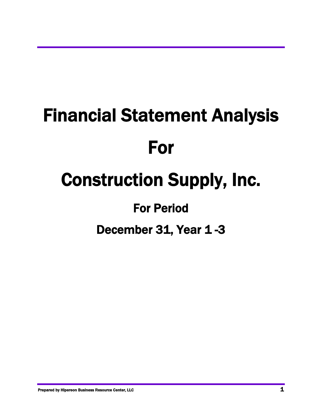# Financial Statement Analysis For Construction Supply, Inc. For Period

December 31, Year 1-3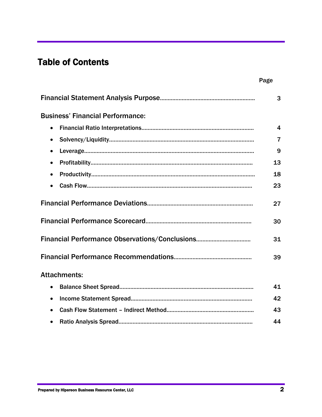## Table of Contents

|                                         | Page                    |
|-----------------------------------------|-------------------------|
|                                         | 3                       |
| <b>Business' Financial Performance:</b> |                         |
| $\bullet$                               | $\overline{\mathbf{4}}$ |
| $\bullet$                               | $\overline{7}$          |
| $\bullet$                               | 9                       |
| $\bullet$                               | 13                      |
| $\bullet$                               | 18                      |
|                                         | 23                      |
|                                         | 27                      |
|                                         | 30                      |
|                                         | 31                      |
|                                         | 39                      |
| <b>Attachments:</b>                     |                         |
| $\bullet$                               | 41                      |
| $\bullet$                               | 42                      |
|                                         | 43                      |
| $\bullet$                               | 44                      |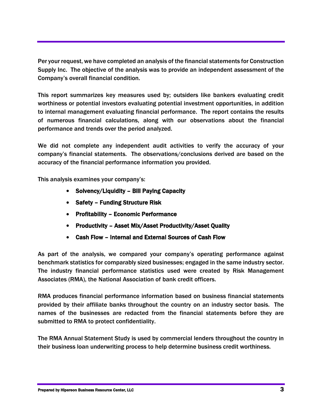Per your request, we have completed an analysis of the financial statements for Construction Supply Inc. The objective of the analysis was to provide an independent assessment of the Company's overall financial condition.

This report summarizes key measures used by; outsiders like bankers evaluating credit worthiness or potential investors evaluating potential investment opportunities, in addition to internal management evaluating financial performance. The report contains the results of numerous financial calculations, along with our observations about the financial performance and trends over the period analyzed.

We did not complete any independent audit activities to verify the accuracy of your company's financial statements. The observations/conclusions derived are based on the accuracy of the financial performance information you provided.

This analysis examines your company's:

- Solvency/Liquidity Bill Paying Capacity
- Safety Funding Structure Risk
- Profitability Economic Performance
- Productivity Asset Mix/Asset Productivity/Asset Quality
- Cash Flow Internal and External Sources of Cash Flow

As part of the analysis, we compared your company's operating performance against benchmark statistics for comparably sized businesses; engaged in the same industry sector. The industry financial performance statistics used were created by Risk Management Associates (RMA), the National Association of bank credit officers.

RMA produces financial performance information based on business financial statements provided by their affiliate banks throughout the country on an industry sector basis. The names of the businesses are redacted from the financial statements before they are submitted to RMA to protect confidentiality.

The RMA Annual Statement Study is used by commercial lenders throughout the country in their business loan underwriting process to help determine business credit worthiness.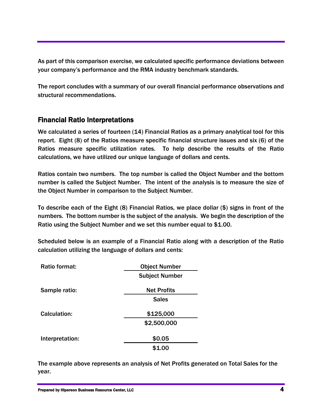As part of this comparison exercise, we calculated specific performance deviations between your company's performance and the RMA industry benchmark standards.

The report concludes with a summary of our overall financial performance observations and structural recommendations.

## Financial Ratio Interpretations

We calculated a series of fourteen (14) Financial Ratios as a primary analytical tool for this report. Eight (8) of the Ratios measure specific financial structure issues and six (6) of the Ratios measure specific utilization rates. To help describe the results of the Ratio calculations, we have utilized our unique language of dollars and cents.

Ratios contain two numbers. The top number is called the Object Number and the bottom number is called the Subject Number. The intent of the analysis is to measure the size of the Object Number in comparison to the Subject Number.

To describe each of the Eight (8) Financial Ratios, we place dollar (\$) signs in front of the numbers. The bottom number is the subject of the analysis. We begin the description of the Ratio using the Subject Number and we set this number equal to \$1.00.

Scheduled below is an example of a Financial Ratio along with a description of the Ratio calculation utilizing the language of dollars and cents:

| Ratio format:   | <b>Object Number</b>  |  |
|-----------------|-----------------------|--|
|                 | <b>Subject Number</b> |  |
| Sample ratio:   | <b>Net Profits</b>    |  |
|                 | <b>Sales</b>          |  |
| Calculation:    | \$125,000             |  |
|                 | \$2,500,000           |  |
| Interpretation: | \$0.05                |  |
|                 | \$1.00                |  |

The example above represents an analysis of Net Profits generated on Total Sales for the year.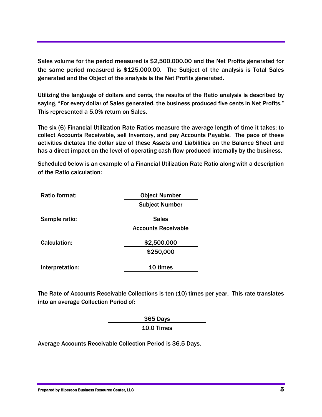Sales volume for the period measured is \$2,500,000.00 and the Net Profits generated for the same period measured is \$125,000.00. The Subject of the analysis is Total Sales generated and the Object of the analysis is the Net Profits generated.

Utilizing the language of dollars and cents, the results of the Ratio analysis is described by saying, "For every dollar of Sales generated, the business produced five cents in Net Profits." This represented a 5.0% return on Sales.

The six (6) Financial Utilization Rate Ratios measure the average length of time it takes; to collect Accounts Receivable, sell Inventory, and pay Accounts Payable. The pace of these activities dictates the dollar size of these Assets and Liabilities on the Balance Sheet and has a direct impact on the level of operating cash flow produced internally by the business.

Scheduled below is an example of a Financial Utilization Rate Ratio along with a description of the Ratio calculation:

| Ratio format:   | <b>Object Number</b>       |
|-----------------|----------------------------|
|                 | <b>Subject Number</b>      |
| Sample ratio:   | <b>Sales</b>               |
|                 | <b>Accounts Receivable</b> |
| Calculation:    | \$2,500,000                |
|                 | \$250,000                  |
| Interpretation: | 10 times                   |

The Rate of Accounts Receivable Collections is ten (10) times per year. This rate translates into an average Collection Period of:

> 365 Days 10.0 Times

Average Accounts Receivable Collection Period is 36.5 Days.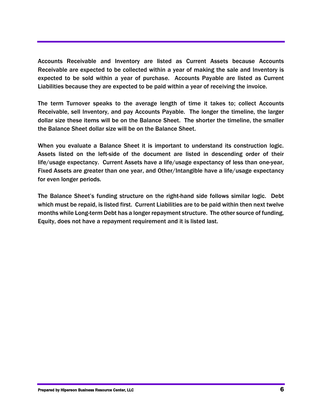Accounts Receivable and Inventory are listed as Current Assets because Accounts Receivable are expected to be collected within a year of making the sale and Inventory is expected to be sold within a year of purchase. Accounts Payable are listed as Current Liabilities because they are expected to be paid within a year of receiving the invoice.

The term Turnover speaks to the average length of time it takes to; collect Accounts Receivable, sell Inventory, and pay Accounts Payable. The longer the timeline, the larger dollar size these items will be on the Balance Sheet. The shorter the timeline, the smaller the Balance Sheet dollar size will be on the Balance Sheet.

When you evaluate a Balance Sheet it is important to understand its construction logic. Assets listed on the left-side of the document are listed in descending order of their life/usage expectancy. Current Assets have a life/usage expectancy of less than one-year, Fixed Assets are greater than one year, and Other/Intangible have a life/usage expectancy for even longer periods.

The Balance Sheet's funding structure on the right-hand side follows similar logic. Debt which must be repaid, is listed first. Current Liabilities are to be paid within then next twelve months while Long-term Debt has a longer repayment structure. The other source of funding, Equity, does not have a repayment requirement and it is listed last.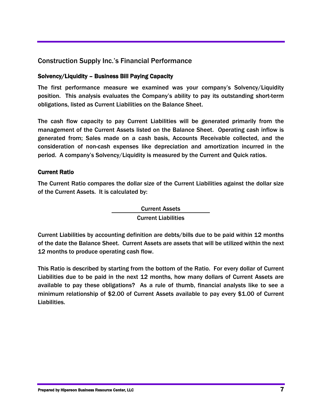## Construction Supply Inc.'s Financial Performance

## Solvency/Liquidity – Business Bill Paying Capacity

The first performance measure we examined was your company's Solvency/Liquidity position. This analysis evaluates the Company's ability to pay its outstanding short-term obligations, listed as Current Liabilities on the Balance Sheet.

The cash flow capacity to pay Current Liabilities will be generated primarily from the management of the Current Assets listed on the Balance Sheet. Operating cash inflow is generated from; Sales made on a cash basis, Accounts Receivable collected, and the consideration of non-cash expenses like depreciation and amortization incurred in the period. A company's Solvency/Liquidity is measured by the Current and Quick ratios.

#### Current Ratio

The Current Ratio compares the dollar size of the Current Liabilities against the dollar size of the Current Assets. It is calculated by:

> Current Assets Current Liabilities

Current Liabilities by accounting definition are debts/bills due to be paid within 12 months of the date the Balance Sheet. Current Assets are assets that will be utilized within the next 12 months to produce operating cash flow.

This Ratio is described by starting from the bottom of the Ratio. For every dollar of Current Liabilities due to be paid in the next 12 months, how many dollars of Current Assets are available to pay these obligations? As a rule of thumb, financial analysts like to see a minimum relationship of \$2.00 of Current Assets available to pay every \$1.00 of Current Liabilities.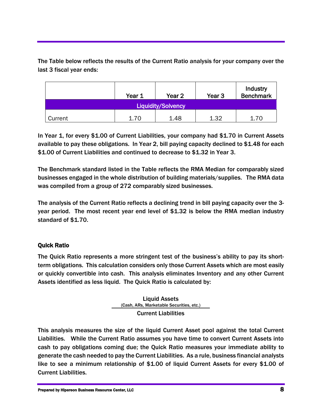The Table below reflects the results of the Current Ratio analysis for your company over the last 3 fiscal year ends:

|                           | Year 1 | Year <sub>2</sub> | Year 3 | Industry<br><b>Benchmark</b> |
|---------------------------|--------|-------------------|--------|------------------------------|
| <b>Liquidity/Solvency</b> |        |                   |        |                              |
| Current                   | 1.70   | 1.48              | 1.32   | 1.70                         |

In Year 1, for every \$1.00 of Current Liabilities, your company had \$1.70 in Current Assets available to pay these obligations. In Year 2, bill paying capacity declined to \$1.48 for each \$1.00 of Current Liabilities and continued to decrease to \$1.32 in Year 3.

The Benchmark standard listed in the Table reflects the RMA Median for comparably sized businesses engaged in the whole distribution of building materials/supplies. The RMA data was compiled from a group of 272 comparably sized businesses.

The analysis of the Current Ratio reflects a declining trend in bill paying capacity over the 3 year period. The most recent year end level of \$1.32 is below the RMA median industry standard of \$1.70.

## Quick Ratio

The Quick Ratio represents a more stringent test of the business's ability to pay its shortterm obligations. This calculation considers only those Current Assets which are most easily or quickly convertible into cash. This analysis eliminates Inventory and any other Current Assets identified as less liquid. The Quick Ratio is calculated by:

> Liquid Assets (Cash, ARs, Marketable Securities, etc.) Current Liabilities

This analysis measures the size of the liquid Current Asset pool against the total Current Liabilities. While the Current Ratio assumes you have time to convert Current Assets into cash to pay obligations coming due; the Quick Ratio measures your immediate ability to generate the cash needed to pay the Current Liabilities. As a rule, business financial analysts like to see a minimum relationship of \$1.00 of liquid Current Assets for every \$1.00 of Current Liabilities.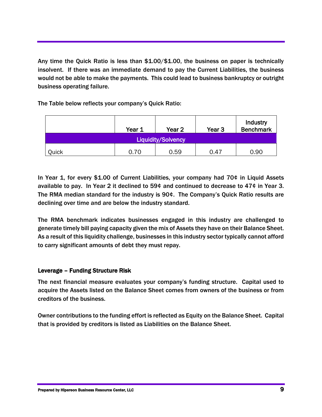Any time the Quick Ratio is less than \$1.00/\$1.00, the business on paper is technically insolvent. If there was an immediate demand to pay the Current Liabilities, the business would not be able to make the payments. This could lead to business bankruptcy or outright business operating failure.

The Table below reflects your company's Quick Ratio:

|                           | Year 1 | Year 2 | Year 3 | Industry<br><b>Benchmark</b> |
|---------------------------|--------|--------|--------|------------------------------|
| <b>Liquidity/Solvency</b> |        |        |        |                              |
| Quick                     | 0.70   | 0.59   | 0.47   | 0.90                         |

In Year 1, for every \$1.00 of Current Liabilities, your company had 70¢ in Liquid Assets available to pay. In Year 2 it declined to 59¢ and continued to decrease to 47¢ in Year 3. The RMA median standard for the industry is 90¢. The Company's Quick Ratio results are declining over time and are below the industry standard.

The RMA benchmark indicates businesses engaged in this industry are challenged to generate timely bill paying capacity given the mix of Assets they have on their Balance Sheet. As a result of this liquidity challenge, businesses in this industry sector typically cannot afford to carry significant amounts of debt they must repay.

## Leverage – Funding Structure Risk

The next financial measure evaluates your company's funding structure. Capital used to acquire the Assets listed on the Balance Sheet comes from owners of the business or from creditors of the business.

Owner contributions to the funding effort is reflected as Equity on the Balance Sheet. Capital that is provided by creditors is listed as Liabilities on the Balance Sheet.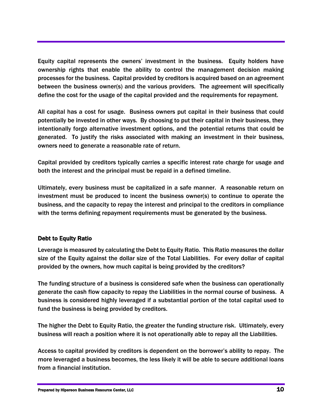Equity capital represents the owners' investment in the business. Equity holders have ownership rights that enable the ability to control the management decision making processes for the business. Capital provided by creditors is acquired based on an agreement between the business owner(s) and the various providers. The agreement will specifically define the cost for the usage of the capital provided and the requirements for repayment.

All capital has a cost for usage. Business owners put capital in their business that could potentially be invested in other ways. By choosing to put their capital in their business, they intentionally forgo alternative investment options, and the potential returns that could be generated. To justify the risks associated with making an investment in their business, owners need to generate a reasonable rate of return.

Capital provided by creditors typically carries a specific interest rate charge for usage and both the interest and the principal must be repaid in a defined timeline.

Ultimately, every business must be capitalized in a safe manner. A reasonable return on investment must be produced to incent the business owner(s) to continue to operate the business, and the capacity to repay the interest and principal to the creditors in compliance with the terms defining repayment requirements must be generated by the business.

## Debt to Equity Ratio

Leverage is measured by calculating the Debt to Equity Ratio. This Ratio measures the dollar size of the Equity against the dollar size of the Total Liabilities. For every dollar of capital provided by the owners, how much capital is being provided by the creditors?

The funding structure of a business is considered safe when the business can operationally generate the cash flow capacity to repay the Liabilities in the normal course of business. A business is considered highly leveraged if a substantial portion of the total capital used to fund the business is being provided by creditors.

The higher the Debt to Equity Ratio, the greater the funding structure risk. Ultimately, every business will reach a position where it is not operationally able to repay all the Liabilities.

Access to capital provided by creditors is dependent on the borrower's ability to repay. The more leveraged a business becomes, the less likely it will be able to secure additional loans from a financial institution.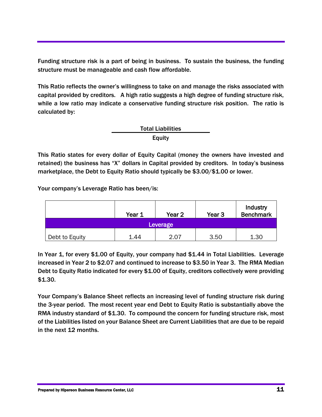Funding structure risk is a part of being in business. To sustain the business, the funding structure must be manageable and cash flow affordable.

This Ratio reflects the owner's willingness to take on and manage the risks associated with capital provided by creditors. A high ratio suggests a high degree of funding structure risk, while a low ratio may indicate a conservative funding structure risk position. The ratio is calculated by:

## Total Liabilities Equity

This Ratio states for every dollar of Equity Capital (money the owners have invested and retained) the business has "X" dollars in Capital provided by creditors. In today's business marketplace, the Debt to Equity Ratio should typically be \$3.00/\$1.00 or lower.

Your company's Leverage Ratio has been/is:

|                | Year 1 | Year <sub>2</sub> | Year <sub>3</sub> | Industry<br><b>Benchmark</b> |
|----------------|--------|-------------------|-------------------|------------------------------|
| Leverage       |        |                   |                   |                              |
| Debt to Equity | 1.44   | 2.07              | 3.50              | 1.30                         |

In Year 1, for every \$1.00 of Equity, your company had \$1.44 in Total Liabilities. Leverage increased in Year 2 to \$2.07 and continued to increase to \$3.50 in Year 3. The RMA Median Debt to Equity Ratio indicated for every \$1.00 of Equity, creditors collectively were providing \$1.30.

Your Company's Balance Sheet reflects an increasing level of funding structure risk during the 3-year period. The most recent year end Debt to Equity Ratio is substantially above the RMA industry standard of \$1.30. To compound the concern for funding structure risk, most of the Liabilities listed on your Balance Sheet are Current Liabilities that are due to be repaid in the next 12 months.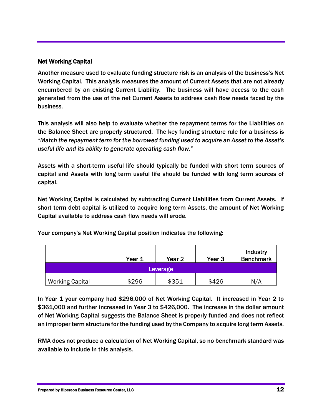## Net Working Capital

Another measure used to evaluate funding structure risk is an analysis of the business's Net Working Capital. This analysis measures the amount of Current Assets that are not already encumbered by an existing Current Liability. The business will have access to the cash generated from the use of the net Current Assets to address cash flow needs faced by the business.

This analysis will also help to evaluate whether the repayment terms for the Liabilities on the Balance Sheet are properly structured. The key funding structure rule for a business is *"Match the repayment term for the borrowed funding used to acquire an Asset to the Asset's useful life and its ability to generate operating cash flow."*

Assets with a short-term useful life should typically be funded with short term sources of capital and Assets with long term useful life should be funded with long term sources of capital.

Net Working Capital is calculated by subtracting Current Liabilities from Current Assets. If short term debt capital is utilized to acquire long term Assets, the amount of Net Working Capital available to address cash flow needs will erode.

Your company's Net Working Capital position indicates the following:

|                        | Year 1 | Year 2 | Year 3 | Industry<br><b>Benchmark</b> |
|------------------------|--------|--------|--------|------------------------------|
| Leverage               |        |        |        |                              |
| <b>Working Capital</b> | \$296  | \$351  | \$426  | N/A                          |

In Year 1 your company had \$296,000 of Net Working Capital. It increased in Year 2 to \$361,000 and further increased in Year 3 to \$426,000. The increase in the dollar amount of Net Working Capital suggests the Balance Sheet is properly funded and does not reflect an improper term structure for the funding used by the Company to acquire long term Assets.

RMA does not produce a calculation of Net Working Capital, so no benchmark standard was available to include in this analysis.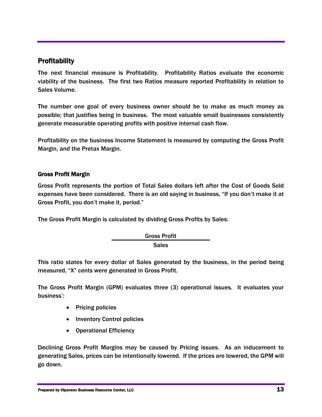## **Profitability**

The next financial measure is Profitability. Profitability Ratios evaluate the economic viability of the business. The first two Ratios measure reported Profitability in relation to Sales Volume.

The number one goal of every business owner should be to make as much money as possible; that justifies being in business. The most valuable small businesses consistently generate measurable operating profits with positive internal cash flow.

Profitability on the business Income Statement is measured by computing the Gross Profit Margin, and the Pretax Margin.

## Gross Profit Margin

Gross Profit represents the portion of Total Sales dollars left after the Cost of Goods Sold expenses have been considered. There is an old saying in business, "If you don't make it at Gross Profit, you don't make it, period."

The Gross Profit Margin is calculated by dividing Gross Profits by Sales:

Gross Profit **Sales** 

This ratio states for every dollar of Sales generated by the business, in the period being measured, "X" cents were generated in Gross Profit.

The Gross Profit Margin (GPM) evaluates three (3) operational issues. It evaluates your business':

- Pricing policies
- Inventory Control policies
- Operational Efficiency

Declining Gross Profit Margins may be caused by Pricing issues. As an inducement to generating Sales, prices can be intentionally lowered. If the prices are lowered, the GPM will go down.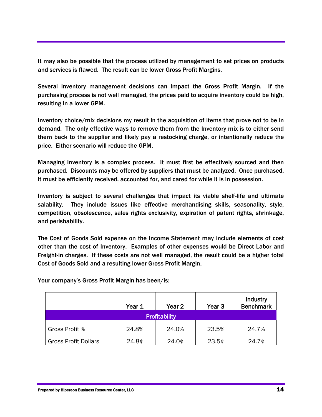It may also be possible that the process utilized by management to set prices on products and services is flawed. The result can be lower Gross Profit Margins.

Several Inventory management decisions can impact the Gross Profit Margin. If the purchasing process is not well managed, the prices paid to acquire inventory could be high, resulting in a lower GPM.

Inventory choice/mix decisions my result in the acquisition of items that prove not to be in demand. The only effective ways to remove them from the Inventory mix is to either send them back to the supplier and likely pay a restocking charge, or intentionally reduce the price. Either scenario will reduce the GPM.

Managing Inventory is a complex process. It must first be effectively sourced and then purchased. Discounts may be offered by suppliers that must be analyzed. Once purchased, it must be efficiently received, accounted for, and cared for while it is in possession.

Inventory is subject to several challenges that impact its viable shelf-life and ultimate salability. They include issues like effective merchandising skills, seasonality, style, competition, obsolescence, sales rights exclusivity, expiration of patent rights, shrinkage, and perishability.

The Cost of Goods Sold expense on the Income Statement may include elements of cost other than the cost of Inventory. Examples of other expenses would be Direct Labor and Freight-in charges. If these costs are not well managed, the result could be a higher total Cost of Goods Sold and a resulting lower Gross Profit Margin.

Your company's Gross Profit Margin has been/is:

|                             | Year 1 | Year 2 | Year <sub>3</sub> | Industry<br><b>Benchmark</b> |
|-----------------------------|--------|--------|-------------------|------------------------------|
| <b>Profitability</b>        |        |        |                   |                              |
| Gross Profit %              | 24.8%  | 24.0%  | 23.5%             | 24.7%                        |
| <b>Gross Profit Dollars</b> | 24.8¢  | 24.0   | $23.5$ ¢          | $24.7$ ¢                     |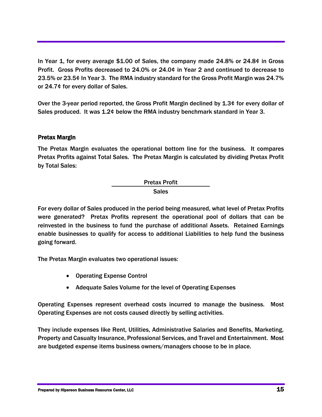In Year 1, for every average \$1.00 of Sales, the company made 24.8% or 24.8¢ in Gross Profit. Gross Profits decreased to 24.0% or 24.0¢ in Year 2 and continued to decrease to 23.5% or 23.5¢ In Year 3. The RMA industry standard for the Gross Profit Margin was 24.7% or 24.7¢ for every dollar of Sales.

Over the 3-year period reported, the Gross Profit Margin declined by 1.3¢ for every dollar of Sales produced. It was 1.2¢ below the RMA industry benchmark standard in Year 3.

## Pretax Margin

The Pretax Margin evaluates the operational bottom line for the business. It compares Pretax Profits against Total Sales. The Pretax Margin is calculated by dividing Pretax Profit by Total Sales:



For every dollar of Sales produced in the period being measured, what level of Pretax Profits were generated? Pretax Profits represent the operational pool of dollars that can be reinvested in the business to fund the purchase of additional Assets. Retained Earnings enable businesses to qualify for access to additional Liabilities to help fund the business going forward.

The Pretax Margin evaluates two operational issues:

- Operating Expense Control
- Adequate Sales Volume for the level of Operating Expenses

Operating Expenses represent overhead costs incurred to manage the business. Most Operating Expenses are not costs caused directly by selling activities.

They include expenses like Rent, Utilities, Administrative Salaries and Benefits, Marketing, Property and Casualty Insurance, Professional Services, and Travel and Entertainment. Most are budgeted expense items business owners/managers choose to be in place.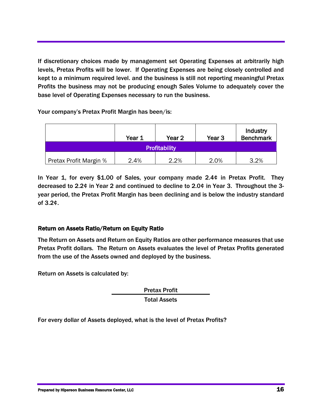If discretionary choices made by management set Operating Expenses at arbitrarily high levels, Pretax Profits will be lower. If Operating Expenses are being closely controlled and kept to a minimum required level. and the business is still not reporting meaningful Pretax Profits the business may not be producing enough Sales Volume to adequately cover the base level of Operating Expenses necessary to run the business.

Your company's Pretax Profit Margin has been/is:

|                               | Year 1 | Year 2 | Year <sub>3</sub> | Industry<br><b>Benchmark</b> |
|-------------------------------|--------|--------|-------------------|------------------------------|
| <b>Profitability</b>          |        |        |                   |                              |
| <b>Pretax Profit Margin %</b> | 2.4%   | 2.2%   | 2.0%              | 3.2%                         |

In Year 1, for every \$1.00 of Sales, your company made 2.4¢ in Pretax Profit. They decreased to 2.2¢ in Year 2 and continued to decline to 2.0¢ in Year 3. Throughout the 3 year period, the Pretax Profit Margin has been declining and is below the industry standard of 3.2¢.

## Return on Assets Ratio/Return on Equity Ratio

The Return on Assets and Return on Equity Ratios are other performance measures that use Pretax Profit dollars. The Return on Assets evaluates the level of Pretax Profits generated from the use of the Assets owned and deployed by the business.

Return on Assets is calculated by:

Pretax Profit Total Assets

For every dollar of Assets deployed, what is the level of Pretax Profits?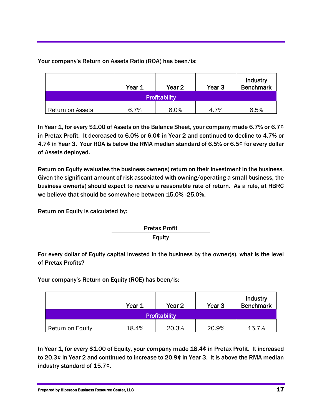Your company's Return on Assets Ratio (ROA) has been/is:

|                      | Year 1 | Year 2 | Year <sub>3</sub> | Industry<br><b>Benchmark</b> |
|----------------------|--------|--------|-------------------|------------------------------|
| <b>Profitability</b> |        |        |                   |                              |
| Return on Assets     | 6.7%   | 6.0%   | 4.7%              | 6.5%                         |

In Year 1, for every \$1.00 of Assets on the Balance Sheet, your company made 6.7% or 6.7¢ in Pretax Profit. It decreased to 6.0% or 6.0¢ in Year 2 and continued to decline to 4.7% or 4.7¢ in Year 3. Your ROA is below the RMA median standard of 6.5% or 6.5¢ for every dollar of Assets deployed.

Return on Equity evaluates the business owner(s) return on their investment in the business. Given the significant amount of risk associated with owning/operating a small business, the business owner(s) should expect to receive a reasonable rate of return. As a rule, at HBRC we believe that should be somewhere between 15.0% -25.0%.

Return on Equity is calculated by:

Pretax Profit Equity

For every dollar of Equity capital invested in the business by the owner(s), what is the level of Pretax Profits?

Your company's Return on Equity (ROE) has been/is:

|                  | Year 1 | Year 2 | Year <sub>3</sub> | Industry<br><b>Benchmark</b> |
|------------------|--------|--------|-------------------|------------------------------|
| Profitability    |        |        |                   |                              |
| Return on Equity | 18.4%  | 20.3%  | 20.9%             | 15.7%                        |

In Year 1, for every \$1.00 of Equity, your company made 18.4¢ in Pretax Profit. It increased to 20.3¢ in Year 2 and continued to increase to 20.9¢ in Year 3. It is above the RMA median industry standard of 15.7¢.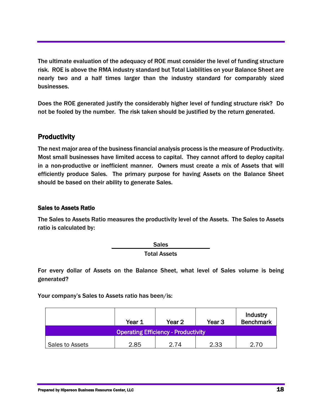The ultimate evaluation of the adequacy of ROE must consider the level of funding structure risk. ROE is above the RMA industry standard but Total Liabilities on your Balance Sheet are nearly two and a half times larger than the industry standard for comparably sized businesses.

Does the ROE generated justify the considerably higher level of funding structure risk? Do not be fooled by the number. The risk taken should be justified by the return generated.

## **Productivity**

The next major area of the business financial analysis process is the measure of Productivity. Most small businesses have limited access to capital. They cannot afford to deploy capital in a non-productive or inefficient manner. Owners must create a mix of Assets that will efficiently produce Sales. The primary purpose for having Assets on the Balance Sheet should be based on their ability to generate Sales.

## Sales to Assets Ratio

The Sales to Assets Ratio measures the productivity level of the Assets. The Sales to Assets ratio is calculated by:

> Sales Total Assets

For every dollar of Assets on the Balance Sheet, what level of Sales volume is being generated?

Your company's Sales to Assets ratio has been/is:

|                                            | Year 1 | Year 2 | Year 3 | Industry<br><b>Benchmark</b> |
|--------------------------------------------|--------|--------|--------|------------------------------|
| <b>Operating Efficiency - Productivity</b> |        |        |        |                              |
| Sales to Assets                            | 2.85   | 2 74   | 2.33   | 2.70                         |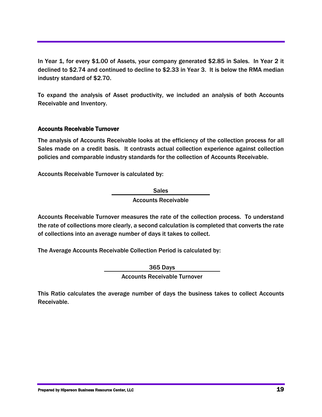In Year 1, for every \$1.00 of Assets, your company generated \$2.85 in Sales. In Year 2 it declined to \$2.74 and continued to decline to \$2.33 in Year 3. It is below the RMA median industry standard of \$2.70.

To expand the analysis of Asset productivity, we included an analysis of both Accounts Receivable and Inventory.

## Accounts Receivable Turnover

The analysis of Accounts Receivable looks at the efficiency of the collection process for all Sales made on a credit basis. It contrasts actual collection experience against collection policies and comparable industry standards for the collection of Accounts Receivable.

Accounts Receivable Turnover is calculated by:

Sales Accounts Receivable

Accounts Receivable Turnover measures the rate of the collection process. To understand the rate of collections more clearly, a second calculation is completed that converts the rate of collections into an average number of days it takes to collect.

The Average Accounts Receivable Collection Period is calculated by:

365 Days

Accounts Receivable Turnover

This Ratio calculates the average number of days the business takes to collect Accounts Receivable.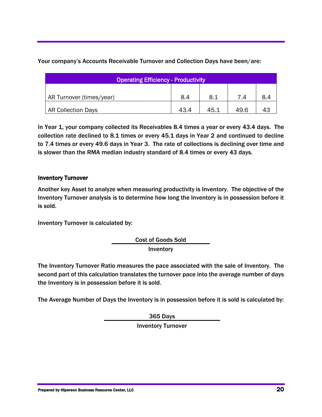Your company's Accounts Receivable Turnover and Collection Days have been/are:

| Operating Efficiency - Productivity |      |      |      |     |  |  |  |  |
|-------------------------------------|------|------|------|-----|--|--|--|--|
|                                     |      |      | 7 A  |     |  |  |  |  |
| AR Turnover (times/year)            | 8.4  | 8.1  |      | 8.4 |  |  |  |  |
| <b>AR Collection Days</b>           | 43.4 | 45.1 | 49.6 |     |  |  |  |  |

In Year 1, your company collected its Receivables 8.4 times a year or every 43.4 days. The collection rate declined to 8.1 times or every 45.1 days in Year 2 and continued to decline to 7.4 times or every 49.6 days in Year 3. The rate of collections is declining over time and is slower than the RMA median industry standard of 8.4 times or every 43 days.

## Inventory Turnover

Another key Asset to analyze when measuring productivity is Inventory. The objective of the Inventory Turnover analysis is to determine how long the Inventory is in possession before it is sold.

Inventory Turnover is calculated by:

Cost of Goods Sold Inventory

The Inventory Turnover Ratio measures the pace associated with the sale of Inventory. The second part of this calculation translates the turnover pace into the average number of days the Inventory is in possession before it is sold.

The Average Number of Days the Inventory is in possession before it is sold is calculated by:

365 Days

Inventory Turnover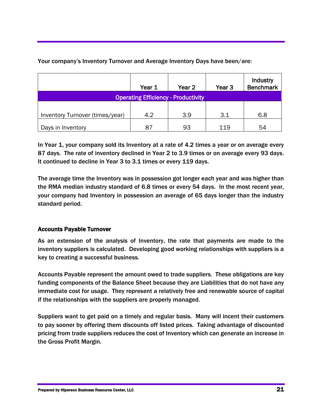|                                            | Year 1 | Year 2 | Year <sub>3</sub> | Industry<br><b>Benchmark</b> |  |  |
|--------------------------------------------|--------|--------|-------------------|------------------------------|--|--|
| <b>Operating Efficiency - Productivity</b> |        |        |                   |                              |  |  |
|                                            |        |        |                   |                              |  |  |
| Inventory Turnover (times/year)            | 4.2    | 3.9    | 3.1               | 6.8                          |  |  |
| Days in Inventory                          | 87     | 93     | 119               | 54                           |  |  |

Your company's Inventory Turnover and Average Inventory Days have been/are:

In Year 1, your company sold its Inventory at a rate of 4.2 times a year or on average every 87 days. The rate of inventory declined in Year 2 to 3.9 times or on average every 93 days. It continued to decline in Year 3 to 3.1 times or every 119 days.

The average time the Inventory was in possession got longer each year and was higher than the RMA median industry standard of 6.8 times or every 54 days. In the most recent year, your company had Inventory in possession an average of 65 days longer than the industry standard period.

## Accounts Payable Turnover

As an extension of the analysis of Inventory, the rate that payments are made to the inventory suppliers is calculated. Developing good working relationships with suppliers is a key to creating a successful business.

Accounts Payable represent the amount owed to trade suppliers. These obligations are key funding components of the Balance Sheet because they are Liabilities that do not have any immediate cost for usage. They represent a relatively free and renewable source of capital if the relationships with the suppliers are properly managed.

Suppliers want to get paid on a timely and regular basis. Many will incent their customers to pay sooner by offering them discounts off listed prices. Taking advantage of discounted pricing from trade suppliers reduces the cost of Inventory which can generate an increase in the Gross Profit Margin.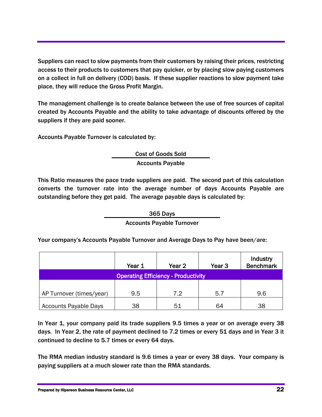Suppliers can react to slow payments from their customers by raising their prices, restricting access to their products to customers that pay quicker, or by placing slow paying customers on a collect in full on delivery (COD) basis. If these supplier reactions to slow payment take place, they will reduce the Gross Profit Margin.

The management challenge is to create balance between the use of free sources of capital created by Accounts Payable and the ability to take advantage of discounts offered by the suppliers if they are paid sooner.

Accounts Payable Turnover is calculated by:

Cost of Goods Sold Accounts Payable

This Ratio measures the pace trade suppliers are paid. The second part of this calculation converts the turnover rate into the average number of days Accounts Payable are outstanding before they get paid. The average payable days is calculated by:

365 Days

## Accounts Payable Turnover

Your company's Accounts Payable Turnover and Average Days to Pay have been/are:

|                              | Year 1 | Year <sub>2</sub>                          | Year <sub>3</sub> | <b>Industry</b><br><b>Benchmark</b> |
|------------------------------|--------|--------------------------------------------|-------------------|-------------------------------------|
|                              |        | <b>Operating Efficiency - Productivity</b> |                   |                                     |
|                              |        |                                            |                   |                                     |
| AP Turnover (times/year)     | 9.5    | 7.2                                        | 5.7               | 9.6                                 |
| <b>Accounts Payable Days</b> | 38     | 51                                         | 64                | 38                                  |

In Year 1, your company paid its trade suppliers 9.5 times a year or on average every 38 days. In Year 2, the rate of payment declined to 7.2 times or every 51 days and in Year 3 it continued to decline to 5.7 times or every 64 days.

The RMA median industry standard is 9.6 times a year or every 38 days. Your company is paying suppliers at a much slower rate than the RMA standards.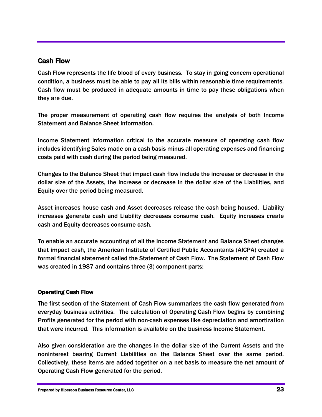## Cash Flow

Cash Flow represents the life blood of every business. To stay in going concern operational condition, a business must be able to pay all its bills within reasonable time requirements. Cash flow must be produced in adequate amounts in time to pay these obligations when they are due.

The proper measurement of operating cash flow requires the analysis of both Income Statement and Balance Sheet information.

Income Statement information critical to the accurate measure of operating cash flow includes identifying Sales made on a cash basis minus all operating expenses and financing costs paid with cash during the period being measured.

Changes to the Balance Sheet that impact cash flow include the increase or decrease in the dollar size of the Assets, the increase or decrease in the dollar size of the Liabilities, and Equity over the period being measured.

Asset increases house cash and Asset decreases release the cash being housed. Liability increases generate cash and Liability decreases consume cash. Equity increases create cash and Equity decreases consume cash.

To enable an accurate accounting of all the Income Statement and Balance Sheet changes that impact cash, the American Institute of Certified Public Accountants (AICPA) created a formal financial statement called the Statement of Cash Flow. The Statement of Cash Flow was created in 1987 and contains three (3) component parts:

## Operating Cash Flow

The first section of the Statement of Cash Flow summarizes the cash flow generated from everyday business activities. The calculation of Operating Cash Flow begins by combining Profits generated for the period with non-cash expenses like depreciation and amortization that were incurred. This information is available on the business Income Statement.

Also given consideration are the changes in the dollar size of the Current Assets and the noninterest bearing Current Liabilities on the Balance Sheet over the same period. Collectively, these items are added together on a net basis to measure the net amount of Operating Cash Flow generated for the period.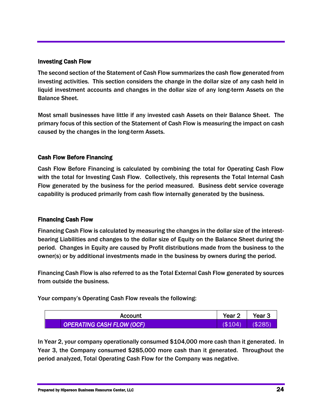#### Investing Cash Flow

The second section of the Statement of Cash Flow summarizes the cash flow generated from investing activities. This section considers the change in the dollar size of any cash held in liquid investment accounts and changes in the dollar size of any long-term Assets on the Balance Sheet.

Most small businesses have little if any invested cash Assets on their Balance Sheet. The primary focus of this section of the Statement of Cash Flow is measuring the impact on cash caused by the changes in the long-term Assets.

#### Cash Flow Before Financing

Cash Flow Before Financing is calculated by combining the total for Operating Cash Flow with the total for Investing Cash Flow. Collectively, this represents the Total Internal Cash Flow generated by the business for the period measured. Business debt service coverage capability is produced primarily from cash flow internally generated by the business.

#### Financing Cash Flow

Financing Cash Flow is calculated by measuring the changes in the dollar size of the interestbearing Liabilities and changes to the dollar size of Equity on the Balance Sheet during the period. Changes in Equity are caused by Profit distributions made from the business to the owner(s) or by additional investments made in the business by owners during the period.

Financing Cash Flow is also referred to as the Total External Cash Flow generated by sources from outside the business.

Your company's Operating Cash Flow reveals the following:

| Account                   | Year     | Year $3$ |
|---------------------------|----------|----------|
| OPERATING CASH FLOW (OCF) | ر2(<br>Έ |          |

In Year 2, your company operationally consumed \$104,000 more cash than it generated. In Year 3, the Company consumed \$285,000 more cash than it generated. Throughout the period analyzed, Total Operating Cash Flow for the Company was negative.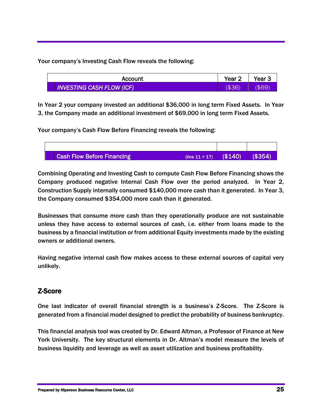Your company's Investing Cash Flow reveals the following:

| Account                     | Year.        | Year |
|-----------------------------|--------------|------|
| INVESTING CASH FLOW (ICF) I | $($ \$36 $)$ | \$69 |

In Year 2 your company invested an additional \$36,000 in long term Fixed Assets. In Year 3, the Company made an additional investment of \$69,000 in long term Fixed Assets.

Your company's Cash Flow Before Financing reveals the following:



Combining Operating and Investing Cash to compute Cash Flow Before Financing shows the Company produced negative Internal Cash Flow over the period analyzed. In Year 2, Construction Supply internally consumed \$140,000 more cash than it generated. In Year 3, the Company consumed \$354,000 more cash than it generated.

Businesses that consume more cash than they operationally produce are not sustainable unless they have access to external sources of cash, i.e. either from loans made to the business by a financial institution or from additional Equity investments made by the existing owners or additional owners.

Having negative internal cash flow makes access to these external sources of capital very unlikely.

## Z-Score

One last indicator of overall financial strength is a business's Z-Score. The Z-Score is generated from a financial model designed to predict the probability of business bankruptcy.

This financial analysis tool was created by Dr. Edward Altman, a Professor of Finance at New York University. The key structural elements in Dr. Altman's model measure the levels of business liquidity and leverage as well as asset utilization and business profitability.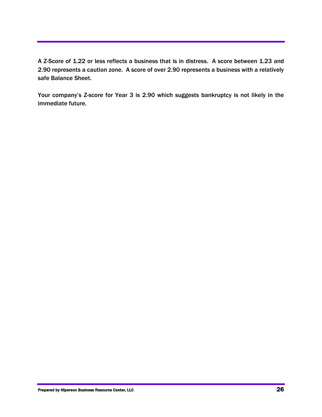A Z-Score of 1.22 or less reflects a business that is in distress. A score between 1.23 and 2.90 represents a caution zone. A score of over 2.90 represents a business with a relatively safe Balance Sheet.

Your company's Z-score for Year 3 is 2.90 which suggests bankruptcy is not likely in the immediate future.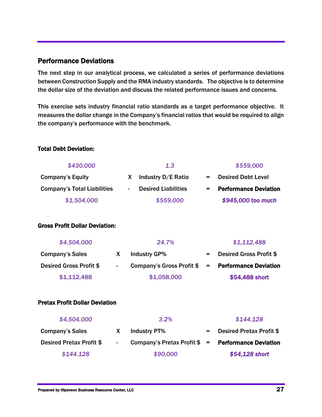## Performance Deviations

The next step in our analytical process, we calculated a series of performance deviations between Construction Supply and the RMA industry standards. The objective is to determine the dollar size of the deviation and discuss the related performance issues and concerns.

This exercise sets industry financial ratio standards as a target performance objective. It measures the dollar change in the Company's financial ratios that would be required to align the company's performance with the benchmark.

## Total Debt Deviation:

| \$430,000                          | 1.3                                                    | \$559,000                           |  |
|------------------------------------|--------------------------------------------------------|-------------------------------------|--|
| <b>Company's Equity</b>            | Industry D/E Ratio                                     | <b>Desired Debt Level</b>           |  |
| <b>Company's Total Liabilities</b> | <b>Desired Liabilities</b><br>$\overline{\phantom{0}}$ | <b>Performance Deviation</b><br>$=$ |  |
| \$1,504,000                        | \$559,000                                              | \$945,000 too much                  |  |

#### Gross Profit Dollar Deviation:

| \$4,504,000             | 24.7%                                               |         | \$1,112,488                    |
|-------------------------|-----------------------------------------------------|---------|--------------------------------|
| <b>Company's Sales</b>  | <b>Industry GP%</b>                                 | $=$ $-$ | <b>Desired Gross Profit \$</b> |
| Desired Gross Profit \$ | Company's Gross Profit $\$$ = Performance Deviation |         |                                |
| \$1,112,488             | \$1,058,000                                         |         | \$54,488 short                 |

## Pretax Profit Dollar Deviation

| \$4,504,000              |                          | 3.2%                                                          | \$144,128                       |
|--------------------------|--------------------------|---------------------------------------------------------------|---------------------------------|
| <b>Company's Sales</b>   |                          | <b>Industry PT%</b>                                           | <b>Desired Pretax Profit \$</b> |
| Desired Pretax Profit \$ | $\overline{\phantom{a}}$ | Company's Pretax Profit $\frac{1}{2}$ = Performance Deviation |                                 |
| \$144.128                |                          | \$90,000                                                      | \$54,128 short                  |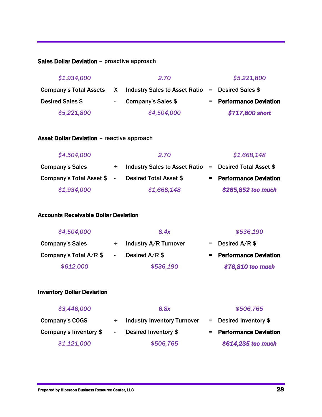## Sales Dollar Deviation – proactive approach

| \$1,934,000      |        | 2.70                                                                        | \$5,221,800             |
|------------------|--------|-----------------------------------------------------------------------------|-------------------------|
|                  |        | Company's Total Assets $X$ Industry Sales to Asset Ratio = Desired Sales \$ |                         |
| Desired Sales \$ | $\sim$ | Company's Sales \$                                                          | = Performance Deviation |
| \$5,221,800      |        | \$4,504,000                                                                 | \$717,800 short         |

#### Asset Dollar Deviation – reactive approach

| \$4,504,000                | 2.70                                                          | \$1,668,148             |
|----------------------------|---------------------------------------------------------------|-------------------------|
| <b>Company's Sales</b>     | $\div$ Industry Sales to Asset Ratio = Desired Total Asset \$ |                         |
| Company's Total Asset \$ - | <b>Desired Total Asset \$</b>                                 | = Performance Deviation |
| \$1,934,000                | \$1,668,148                                                   | \$265,852 too much      |

## Accounts Receivable Dollar Deviation

| \$4,504,000            |        | 8.4x                  | \$536,190               |
|------------------------|--------|-----------------------|-------------------------|
| <b>Company's Sales</b> | ÷      | Industry A/R Turnover | $=$ Desired A/R \$      |
| Company's Total A/R \$ | $\sim$ | Desired $A/R$ \$      | - Performance Deviation |
| \$612,000              |        | \$536,190             | \$78,810 too much       |

## Inventory Dollar Deviation

| \$3,446,000            |        | 6.8x                               | \$506,765                |
|------------------------|--------|------------------------------------|--------------------------|
| Company's COGS         |        | <b>Industry Inventory Turnover</b> | $=$ Desired Inventory \$ |
| Company's Inventory \$ | $\sim$ | Desired Inventory \$               | = Performance Deviation  |
| \$1,121,000            |        | \$506,765                          | \$614,235 too much       |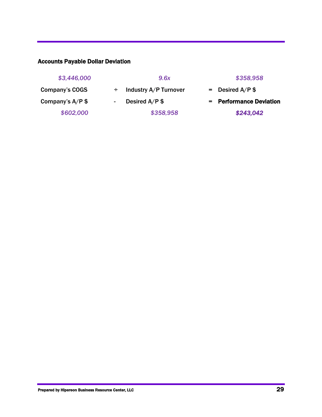## Accounts Payable Dollar Deviation

| \$3,446,000        |        | 9.6x                  | \$358,958               |
|--------------------|--------|-----------------------|-------------------------|
| Company's COGS     |        | Industry A/P Turnover | $=$ Desired A/P \$      |
| Company's $A/P$ \$ | $\sim$ | Desired $A/P$ \$      | = Performance Deviation |
| \$602,000          |        | \$358,958             | \$243,042               |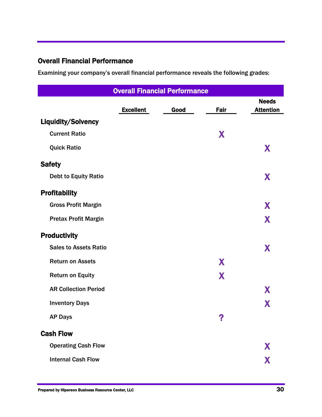## Overall Financial Performance

Examining your company's overall financial performance reveals the following grades:

| <b>Overall Financial Performance</b> |                  |      |      |                                  |
|--------------------------------------|------------------|------|------|----------------------------------|
|                                      | <b>Excellent</b> | Good | Fair | <b>Needs</b><br><b>Attention</b> |
| <b>Liquidity/Solvency</b>            |                  |      |      |                                  |
| <b>Current Ratio</b>                 |                  |      | X    |                                  |
| <b>Quick Ratio</b>                   |                  |      |      | X                                |
| <b>Safety</b>                        |                  |      |      |                                  |
| <b>Debt to Equity Ratio</b>          |                  |      |      | X                                |
| <b>Profitability</b>                 |                  |      |      |                                  |
| <b>Gross Profit Margin</b>           |                  |      |      | X                                |
| <b>Pretax Profit Margin</b>          |                  |      |      | X                                |
| <b>Productivity</b>                  |                  |      |      |                                  |
| <b>Sales to Assets Ratio</b>         |                  |      |      | X                                |
| <b>Return on Assets</b>              |                  |      | X    |                                  |
| <b>Return on Equity</b>              |                  |      | X    |                                  |
| <b>AR Collection Period</b>          |                  |      |      | X                                |
| <b>Inventory Days</b>                |                  |      |      | X                                |
| <b>AP Days</b>                       |                  |      | 2    |                                  |
| <b>Cash Flow</b>                     |                  |      |      |                                  |
| <b>Operating Cash Flow</b>           |                  |      |      | X                                |
| <b>Internal Cash Flow</b>            |                  |      |      | X                                |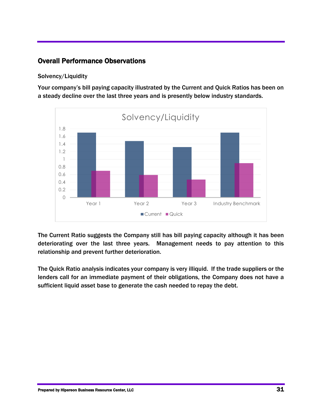## Overall Performance Observations

## Solvency/Liquidity

Your company's bill paying capacity illustrated by the Current and Quick Ratios has been on a steady decline over the last three years and is presently below industry standards.



The Current Ratio suggests the Company still has bill paying capacity although it has been deteriorating over the last three years. Management needs to pay attention to this relationship and prevent further deterioration.

The Quick Ratio analysis indicates your company is very illiquid. If the trade suppliers or the lenders call for an immediate payment of their obligations, the Company does not have a sufficient liquid asset base to generate the cash needed to repay the debt.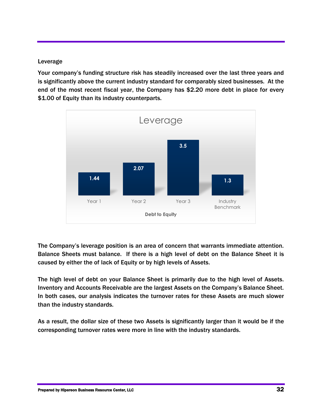#### Leverage

Your company's funding structure risk has steadily increased over the last three years and is significantly above the current industry standard for comparably sized businesses. At the end of the most recent fiscal year, the Company has \$2.20 more debt in place for every \$1.00 of Equity than its industry counterparts.



The Company's leverage position is an area of concern that warrants immediate attention. Balance Sheets must balance. If there is a high level of debt on the Balance Sheet it is caused by either the of lack of Equity or by high levels of Assets.

The high level of debt on your Balance Sheet is primarily due to the high level of Assets. Inventory and Accounts Receivable are the largest Assets on the Company's Balance Sheet. In both cases, our analysis indicates the turnover rates for these Assets are much slower than the industry standards.

As a result, the dollar size of these two Assets is significantly larger than it would be if the corresponding turnover rates were more in line with the industry standards.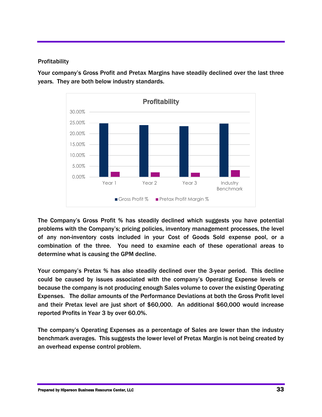## **Profitability**

Your company's Gross Profit and Pretax Margins have steadily declined over the last three years. They are both below industry standards.



The Company's Gross Profit % has steadily declined which suggests you have potential problems with the Company's; pricing policies, inventory management processes, the level of any non-inventory costs included in your Cost of Goods Sold expense pool, or a combination of the three. You need to examine each of these operational areas to determine what is causing the GPM decline.

Your company's Pretax % has also steadily declined over the 3-year period. This decline could be caused by issues associated with the company's Operating Expense levels or because the company is not producing enough Sales volume to cover the existing Operating Expenses. The dollar amounts of the Performance Deviations at both the Gross Profit level and their Pretax level are just short of \$60,000. An additional \$60,000 would increase reported Profits in Year 3 by over 60.0%.

The company's Operating Expenses as a percentage of Sales are lower than the industry benchmark averages. This suggests the lower level of Pretax Margin is not being created by an overhead expense control problem.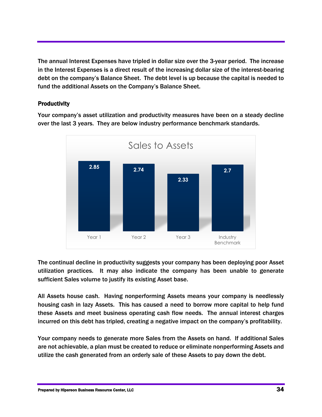The annual Interest Expenses have tripled in dollar size over the 3-year period. The increase in the Interest Expenses is a direct result of the increasing dollar size of the interest-bearing debt on the company's Balance Sheet. The debt level is up because the capital is needed to fund the additional Assets on the Company's Balance Sheet.

## **Productivity**

Your company's asset utilization and productivity measures have been on a steady decline over the last 3 years. They are below industry performance benchmark standards.



The continual decline in productivity suggests your company has been deploying poor Asset utilization practices. It may also indicate the company has been unable to generate sufficient Sales volume to justify its existing Asset base.

All Assets house cash. Having nonperforming Assets means your company is needlessly housing cash in lazy Assets. This has caused a need to borrow more capital to help fund these Assets and meet business operating cash flow needs. The annual interest charges incurred on this debt has tripled, creating a negative impact on the company's profitability.

Your company needs to generate more Sales from the Assets on hand. If additional Sales are not achievable, a plan must be created to reduce or eliminate nonperforming Assets and utilize the cash generated from an orderly sale of these Assets to pay down the debt.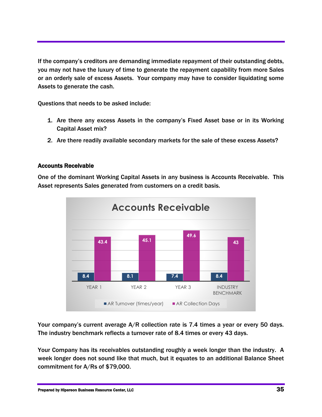If the company's creditors are demanding immediate repayment of their outstanding debts, you may not have the luxury of time to generate the repayment capability from more Sales or an orderly sale of excess Assets. Your company may have to consider liquidating some Assets to generate the cash.

Questions that needs to be asked include:

- 1. Are there any excess Assets in the company's Fixed Asset base or in its Working Capital Asset mix?
- 2. Are there readily available secondary markets for the sale of these excess Assets?

## Accounts Receivable

One of the dominant Working Capital Assets in any business is Accounts Receivable. This Asset represents Sales generated from customers on a credit basis.



Your company's current average A/R collection rate is 7.4 times a year or every 50 days. The industry benchmark reflects a turnover rate of 8.4 times or every 43 days.

Your Company has its receivables outstanding roughly a week longer than the industry. A week longer does not sound like that much, but it equates to an additional Balance Sheet commitment for A/Rs of \$79,000.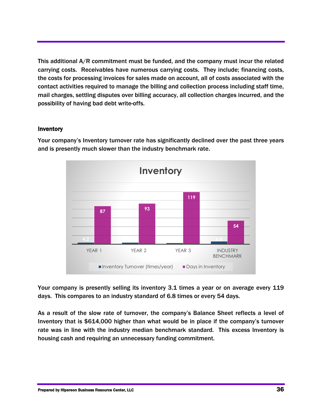This additional A/R commitment must be funded, and the company must incur the related carrying costs. Receivables have numerous carrying costs. They include; financing costs, the costs for processing invoices for sales made on account, all of costs associated with the contact activities required to manage the billing and collection process including staff time, mail charges, settling disputes over billing accuracy, all collection charges incurred, and the possibility of having bad debt write-offs.

#### Inventory



Your company's Inventory turnover rate has significantly declined over the past three years and is presently much slower than the industry benchmark rate.

Your company is presently selling its inventory 3.1 times a year or on average every 119 days. This compares to an industry standard of 6.8 times or every 54 days.

As a result of the slow rate of turnover, the company's Balance Sheet reflects a level of Inventory that is \$614,000 higher than what would be in place if the company's turnover rate was in line with the industry median benchmark standard. This excess Inventory is housing cash and requiring an unnecessary funding commitment.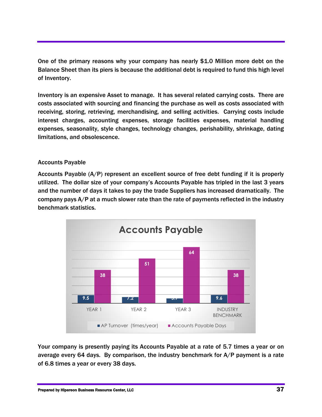One of the primary reasons why your company has nearly \$1.0 Million more debt on the Balance Sheet than its piers is because the additional debt is required to fund this high level of Inventory.

Inventory is an expensive Asset to manage. It has several related carrying costs. There are costs associated with sourcing and financing the purchase as well as costs associated with receiving, storing, retrieving, merchandising, and selling activities. Carrying costs include interest charges, accounting expenses, storage facilities expenses, material handling expenses, seasonality, style changes, technology changes, perishability, shrinkage, dating limitations, and obsolescence.

## Accounts Payable

Accounts Payable (A/P) represent an excellent source of free debt funding if it is properly utilized. The dollar size of your company's Accounts Payable has tripled in the last 3 years and the number of days it takes to pay the trade Suppliers has increased dramatically. The company pays A/P at a much slower rate than the rate of payments reflected in the industry benchmark statistics.



Your company is presently paying its Accounts Payable at a rate of 5.7 times a year or on average every 64 days. By comparison, the industry benchmark for  $A/P$  payment is a rate of 6.8 times a year or every 38 days.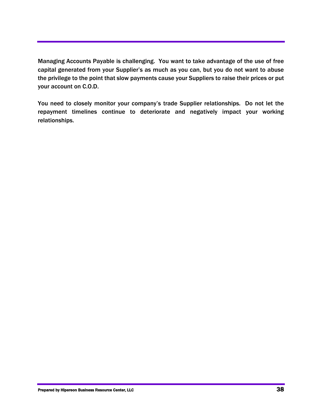Managing Accounts Payable is challenging. You want to take advantage of the use of free capital generated from your Supplier's as much as you can, but you do not want to abuse the privilege to the point that slow payments cause your Suppliers to raise their prices or put your account on C.O.D.

You need to closely monitor your company's trade Supplier relationships. Do not let the repayment timelines continue to deteriorate and negatively impact your working relationships.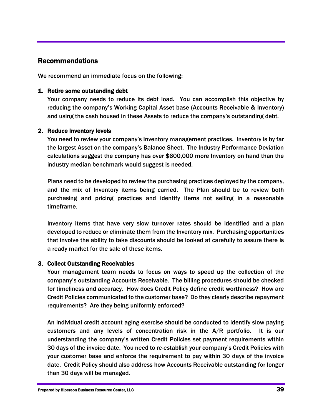## Recommendations

We recommend an immediate focus on the following:

#### 1. Retire some outstanding debt

Your company needs to reduce its debt load. You can accomplish this objective by reducing the company's Working Capital Asset base (Accounts Receivable & Inventory) and using the cash housed in these Assets to reduce the company's outstanding debt.

#### 2. Reduce inventory levels

You need to review your company's Inventory management practices. Inventory is by far the largest Asset on the company's Balance Sheet. The Industry Performance Deviation calculations suggest the company has over \$600,000 more Inventory on hand than the industry median benchmark would suggest is needed.

Plans need to be developed to review the purchasing practices deployed by the company, and the mix of Inventory items being carried. The Plan should be to review both purchasing and pricing practices and identify items not selling in a reasonable timeframe.

Inventory items that have very slow turnover rates should be identified and a plan developed to reduce or eliminate them from the Inventory mix. Purchasing opportunities that involve the ability to take discounts should be looked at carefully to assure there is a ready market for the sale of these items.

## 3. Collect Outstanding Receivables

Your management team needs to focus on ways to speed up the collection of the company's outstanding Accounts Receivable. The billing procedures should be checked for timeliness and accuracy. How does Credit Policy define credit worthiness? How are Credit Policies communicated to the customer base? Do they clearly describe repayment requirements? Are they being uniformly enforced?

An individual credit account aging exercise should be conducted to identify slow paying customers and any levels of concentration risk in the A/R portfolio. It is our understanding the company's written Credit Policies set payment requirements within 30 days of the invoice date. You need to re-establish your company's Credit Policies with your customer base and enforce the requirement to pay within 30 days of the invoice date. Credit Policy should also address how Accounts Receivable outstanding for longer than 30 days will be managed.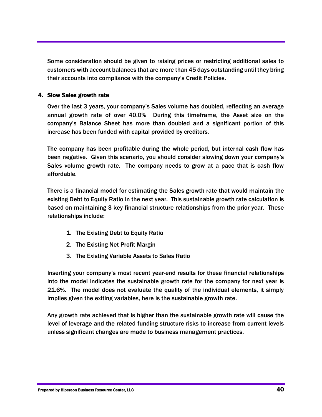Some consideration should be given to raising prices or restricting additional sales to customers with account balances that are more than 45 days outstanding until they bring their accounts into compliance with the company's Credit Policies.

## 4. Slow Sales growth rate

Over the last 3 years, your company's Sales volume has doubled, reflecting an average annual growth rate of over 40.0% During this timeframe, the Asset size on the company's Balance Sheet has more than doubled and a significant portion of this increase has been funded with capital provided by creditors.

The company has been profitable during the whole period, but internal cash flow has been negative. Given this scenario, you should consider slowing down your company's Sales volume growth rate. The company needs to grow at a pace that is cash flow affordable.

There is a financial model for estimating the Sales growth rate that would maintain the existing Debt to Equity Ratio in the next year. This sustainable growth rate calculation is based on maintaining 3 key financial structure relationships from the prior year. These relationships include:

- 1. The Existing Debt to Equity Ratio
- 2. The Existing Net Profit Margin
- 3. The Existing Variable Assets to Sales Ratio

Inserting your company's most recent year-end results for these financial relationships into the model indicates the sustainable growth rate for the company for next year is 21.6%. The model does not evaluate the quality of the individual elements, it simply implies given the exiting variables, here is the sustainable growth rate.

Any growth rate achieved that is higher than the sustainable growth rate will cause the level of leverage and the related funding structure risks to increase from current levels unless significant changes are made to business management practices.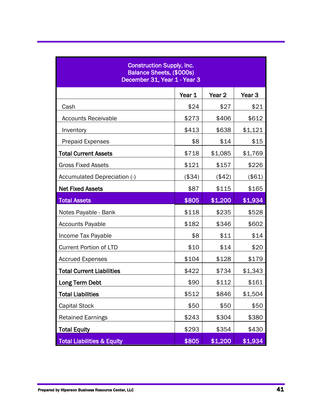| <b>Construction Supply, Inc.</b><br>Balance Sheets, (\$000s)<br>December 31, Year 1 - Year 3 |        |                   |         |  |
|----------------------------------------------------------------------------------------------|--------|-------------------|---------|--|
|                                                                                              | Year 1 | Year <sub>2</sub> | Year 3  |  |
| Cash                                                                                         | \$24   | \$27              | \$21    |  |
| <b>Accounts Receivable</b>                                                                   | \$273  | \$406             | \$612   |  |
| Inventory                                                                                    | \$413  | \$638             | \$1,121 |  |
| <b>Prepaid Expenses</b>                                                                      | \$8    | \$14              | \$15    |  |
| <b>Total Current Assets</b>                                                                  | \$718  | \$1,085           | \$1,769 |  |
| <b>Gross Fixed Assets</b>                                                                    | \$121  | \$157             | \$226   |  |
| Accumulated Depreciation (-)                                                                 | (\$34) | (\$42)            | (\$61)  |  |
| <b>Net Fixed Assets</b>                                                                      | \$87   | \$115             | \$165   |  |
| <b>Total Assets</b>                                                                          | \$805  | \$1,200           | \$1,934 |  |
| Notes Payable - Bank                                                                         | \$118  | \$235             | \$528   |  |
| <b>Accounts Payable</b>                                                                      | \$182  | \$346             | \$602   |  |
| Income Tax Payable                                                                           | \$8    | \$11              | \$14    |  |
| <b>Current Portion of LTD</b>                                                                | \$10   | \$14              | \$20    |  |
| <b>Accrued Expenses</b>                                                                      | \$104  | \$128             | \$179   |  |
| <b>Total Current Liabilities</b>                                                             | \$422  | \$734             | \$1,343 |  |
| Long Term Debt                                                                               | \$90   | \$112             | \$161   |  |
| <b>Total Liabilities</b>                                                                     | \$512  | \$846             | \$1,504 |  |
| <b>Capital Stock</b>                                                                         | \$50   | \$50              | \$50    |  |
| <b>Retained Earnings</b>                                                                     | \$243  | \$304             | \$380   |  |
| <b>Total Equity</b>                                                                          | \$293  | \$354             | \$430   |  |
| <b>Total Liabilities &amp; Equity</b>                                                        | \$805  | \$1,200           | \$1,934 |  |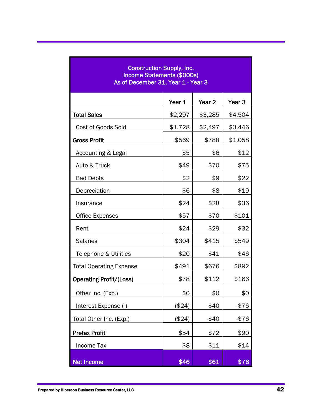| <b>Construction Supply, Inc.</b><br><b>Income Statements (\$000s)</b><br>As of December 31, Year 1 - Year 3 |         |          |                   |  |
|-------------------------------------------------------------------------------------------------------------|---------|----------|-------------------|--|
|                                                                                                             | Year 1  | Year 2   | Year <sub>3</sub> |  |
| <b>Total Sales</b>                                                                                          | \$2,297 | \$3,285  | \$4,504           |  |
| Cost of Goods Sold                                                                                          | \$1,728 | \$2,497  | \$3,446           |  |
| <b>Gross Profit</b>                                                                                         | \$569   | \$788    | \$1,058           |  |
| Accounting & Legal                                                                                          | \$5     | \$6      | \$12              |  |
| Auto & Truck                                                                                                | \$49    | \$70     | \$75              |  |
| <b>Bad Debts</b>                                                                                            | \$2     | \$9      | \$22              |  |
| Depreciation                                                                                                | \$6     | \$8      | \$19              |  |
| Insurance                                                                                                   | \$24    | \$28     | \$36              |  |
| <b>Office Expenses</b>                                                                                      | \$57    | \$70     | \$101             |  |
| Rent                                                                                                        | \$24    | \$29     | \$32              |  |
| <b>Salaries</b>                                                                                             | \$304   | \$415    | \$549             |  |
| Telephone & Utilities                                                                                       | \$20    | \$41     | \$46              |  |
| <b>Total Operating Expense</b>                                                                              | \$491   | \$676    | \$892             |  |
| <b>Operating Profit/(Loss)</b>                                                                              | \$78    | \$112    | \$166             |  |
| Other Inc. (Exp.)                                                                                           | \$0     | \$0      | \$0               |  |
| Interest Expense (-)                                                                                        | (\$24)  | $-$40$   | $-$ \$76          |  |
| Total Other Inc. (Exp.)                                                                                     | (\$24)  | $-$ \$40 | -\$76             |  |
| <b>Pretax Profit</b>                                                                                        | \$54    | \$72     | \$90              |  |
| Income Tax                                                                                                  | \$8     | \$11     | \$14              |  |
| <b>Net Income</b>                                                                                           | \$46    | \$61     | \$76              |  |

ī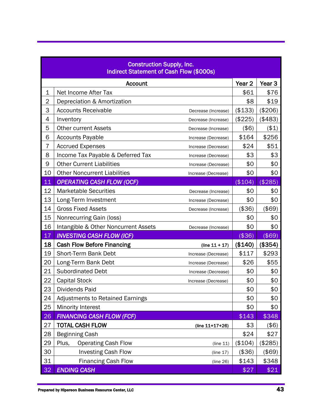| <b>Construction Supply, Inc.</b><br><b>Indirect Statement of Cash Flow (\$000s)</b> |                                                             |                   |                   |  |
|-------------------------------------------------------------------------------------|-------------------------------------------------------------|-------------------|-------------------|--|
|                                                                                     | <b>Account</b>                                              | Year <sub>2</sub> | Year <sub>3</sub> |  |
| $\mathbf 1$                                                                         | Net Income After Tax                                        | \$61              | \$76              |  |
| $\overline{2}$                                                                      | Depreciation & Amortization                                 | \$8               | \$19              |  |
| 3                                                                                   | <b>Accounts Receivable</b><br>Decrease (Increase)           | (\$133)           | (\$206)           |  |
| 4                                                                                   | Inventory<br>Decrease (Increase)                            | (\$225)           | (\$483)           |  |
| 5                                                                                   | <b>Other current Assets</b><br>Decrease (Increase)          | $($ \$6)          | (\$1)             |  |
| 6                                                                                   | <b>Accounts Payable</b><br>Increase (Decrease)              | \$164             | \$256             |  |
| $\overline{7}$                                                                      | <b>Accrued Expenses</b><br>Increase (Decrease)              | \$24              | \$51              |  |
| 8                                                                                   | Income Tax Payable & Deferred Tax<br>Increase (Decrease)    | \$3               | \$3               |  |
| 9                                                                                   | <b>Other Current Liabilities</b><br>Increase (Decrease)     | \$0               | \$0               |  |
| 10                                                                                  | <b>Other Noncurrent Liabilities</b><br>Increase (Decrease)  | \$0               | \$0               |  |
| 11                                                                                  | <b>OPERATING CASH FLOW (OCF)</b>                            | (\$104)           | (\$285)           |  |
| 12                                                                                  | <b>Marketable Securities</b><br>Decrease (Increase)         | \$0               | \$0               |  |
| 13                                                                                  | Long-Term Investment<br>Increase (Decrease)                 | \$0               | \$0               |  |
| 14                                                                                  | <b>Gross Fixed Assets</b><br>Decrease (Increase)            | (\$36)            | $($ \$69)         |  |
| 15                                                                                  | Nonrecurring Gain (loss)                                    | \$0               | \$0               |  |
| 16                                                                                  | Intangible & Other Noncurrent Assets<br>Decrease (Increase) | \$0               | \$0               |  |
| 17                                                                                  | <b>INVESTING CASH FLOW (ICF)</b>                            | $($ \$36)         | (\$69)            |  |
| 18                                                                                  | <b>Cash Flow Before Financing</b><br>(line $11 + 17$ )      | (\$140)           | (\$354)           |  |
| 19                                                                                  | <b>Short-Term Bank Debt</b><br>Increase (Decrease)          | \$117             | \$293             |  |
| 20                                                                                  | Long-Term Bank Debt<br>Increase (Decrease)                  | \$26              | \$55              |  |
| 21                                                                                  | <b>Subordinated Debt</b><br>Increase (Decrease)             | \$0               | \$0               |  |
| 22                                                                                  | <b>Capital Stock</b><br>Increase (Decrease)                 | \$0               | \$0               |  |
| 23                                                                                  | Dividends Paid                                              | \$0               | \$0               |  |
| 24                                                                                  | <b>Adjustments to Retained Earnings</b>                     | \$0               | \$0               |  |
| 25                                                                                  | Minority Interest                                           | \$0               | \$0               |  |
| 26                                                                                  | <b>FINANCING CASH FLOW (FCF)</b>                            | \$143             | \$348             |  |
| 27                                                                                  | <b>TOTAL CASH FLOW</b><br>(line $11+17+26$ )                | \$3               | $($ \$6)          |  |
| 28                                                                                  | <b>Beginning Cash</b>                                       | \$24              | \$27              |  |
| 29                                                                                  | <b>Operating Cash Flow</b><br>Plus,<br>(line 11)            | (\$104)           | (\$285)           |  |
| 30                                                                                  | <b>Investing Cash Flow</b><br>(line 17)                     | (\$36)            | (\$69)            |  |
| 31                                                                                  | <b>Financing Cash Flow</b><br>(line 26)                     | \$143             | \$348             |  |
| 32                                                                                  | <b>ENDING CASH</b>                                          | \$27              | \$21              |  |